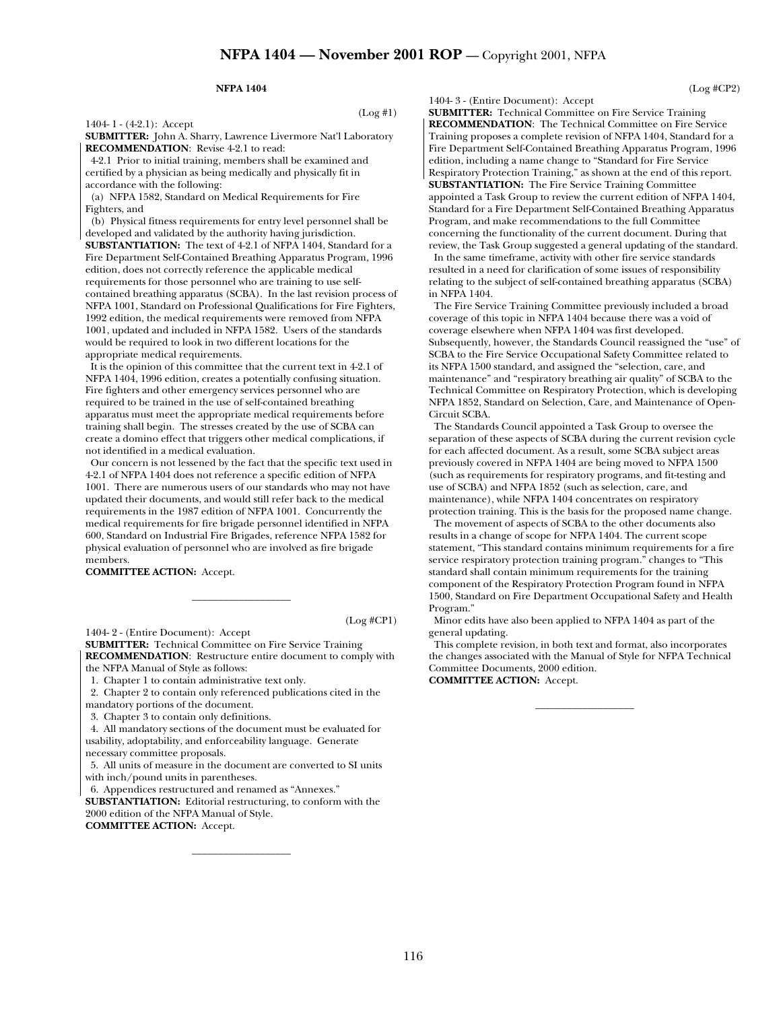#### **NFPA 1404**

1404- 1 - (4-2.1): Accept

(Log #1)

(Log #CP1)

**SUBMITTER:** John A. Sharry, Lawrence Livermore Nat'l Laboratory **RECOMMENDATION**: Revise 4-2.1 to read:

 4-2.1 Prior to initial training, members shall be examined and certified by a physician as being medically and physically fit in accordance with the following:

 (a) NFPA 1582, Standard on Medical Requirements for Fire Fighters, and

 (b) Physical fitness requirements for entry level personnel shall be developed and validated by the authority having jurisdiction. **SUBSTANTIATION:** The text of 4-2.1 of NFPA 1404, Standard for a Fire Department Self-Contained Breathing Apparatus Program, 1996 edition, does not correctly reference the applicable medical requirements for those personnel who are training to use selfcontained breathing apparatus (SCBA). In the last revision process of NFPA 1001, Standard on Professional Qualifications for Fire Fighters, 1992 edition, the medical requirements were removed from NFPA 1001, updated and included in NFPA 1582. Users of the standards would be required to look in two different locations for the

appropriate medical requirements. It is the opinion of this committee that the current text in 4-2.1 of NFPA 1404, 1996 edition, creates a potentially confusing situation. Fire fighters and other emergency services personnel who are required to be trained in the use of self-contained breathing apparatus must meet the appropriate medical requirements before training shall begin. The stresses created by the use of SCBA can create a domino effect that triggers other medical complications, if not identified in a medical evaluation.

 Our concern is not lessened by the fact that the specific text used in 4-2.1 of NFPA 1404 does not reference a specific edition of NFPA 1001. There are numerous users of our standards who may not have updated their documents, and would still refer back to the medical requirements in the 1987 edition of NFPA 1001. Concurrently the medical requirements for fire brigade personnel identified in NFPA 600, Standard on Industrial Fire Brigades, reference NFPA 1582 for physical evaluation of personnel who are involved as fire brigade members.

**COMMITTEE ACTION:** Accept.

1404- 2 - (Entire Document): Accept

**SUBMITTER:** Technical Committee on Fire Service Training **RECOMMENDATION**: Restructure entire document to comply with the NFPA Manual of Style as follows:

\_\_\_\_\_\_\_\_\_\_\_\_\_\_\_\_\_\_\_

1. Chapter 1 to contain administrative text only.

 2. Chapter 2 to contain only referenced publications cited in the mandatory portions of the document.

3. Chapter 3 to contain only definitions.

 4. All mandatory sections of the document must be evaluated for usability, adoptability, and enforceability language. Generate necessary committee proposals.

 5. All units of measure in the document are converted to SI units with inch/pound units in parentheses.

6. Appendices restructured and renamed as "Annexes."

**SUBSTANTIATION:** Editorial restructuring, to conform with the 2000 edition of the NFPA Manual of Style. **COMMITTEE ACTION:** Accept.

\_\_\_\_\_\_\_\_\_\_\_\_\_\_\_\_\_\_\_

1404- 3 - (Entire Document): Accept

(Log #CP2)

**SUBMITTER:** Technical Committee on Fire Service Training **RECOMMENDATION**: The Technical Committee on Fire Service Training proposes a complete revision of NFPA 1404, Standard for a Fire Department Self-Contained Breathing Apparatus Program, 1996 edition, including a name change to "Standard for Fire Service Respiratory Protection Training," as shown at the end of this report.

**SUBSTANTIATION:** The Fire Service Training Committee appointed a Task Group to review the current edition of NFPA 1404, Standard for a Fire Department Self-Contained Breathing Apparatus Program, and make recommendations to the full Committee concerning the functionality of the current document. During that review, the Task Group suggested a general updating of the standard.

 In the same timeframe, activity with other fire service standards resulted in a need for clarification of some issues of responsibility relating to the subject of self-contained breathing apparatus (SCBA) in NFPA 1404.

 The Fire Service Training Committee previously included a broad coverage of this topic in NFPA 1404 because there was a void of coverage elsewhere when NFPA 1404 was first developed. Subsequently, however, the Standards Council reassigned the "use" of SCBA to the Fire Service Occupational Safety Committee related to its NFPA 1500 standard, and assigned the "selection, care, and maintenance" and "respiratory breathing air quality" of SCBA to the Technical Committee on Respiratory Protection, which is developing NFPA 1852, Standard on Selection, Care, and Maintenance of Open-Circuit SCBA.

 The Standards Council appointed a Task Group to oversee the separation of these aspects of SCBA during the current revision cycle for each affected document. As a result, some SCBA subject areas previously covered in NFPA 1404 are being moved to NFPA 1500 (such as requirements for respiratory programs, and fit-testing and use of SCBA) and NFPA 1852 (such as selection, care, and maintenance), while NFPA 1404 concentrates on respiratory protection training. This is the basis for the proposed name change.

 The movement of aspects of SCBA to the other documents also results in a change of scope for NFPA 1404. The current scope statement, "This standard contains minimum requirements for a fire service respiratory protection training program." changes to "This standard shall contain minimum requirements for the training component of the Respiratory Protection Program found in NFPA 1500, Standard on Fire Department Occupational Safety and Health Program."

 Minor edits have also been applied to NFPA 1404 as part of the general updating.

 This complete revision, in both text and format, also incorporates the changes associated with the Manual of Style for NFPA Technical Committee Documents, 2000 edition.

\_\_\_\_\_\_\_\_\_\_\_\_\_\_\_\_\_\_\_

**COMMITTEE ACTION:** Accept.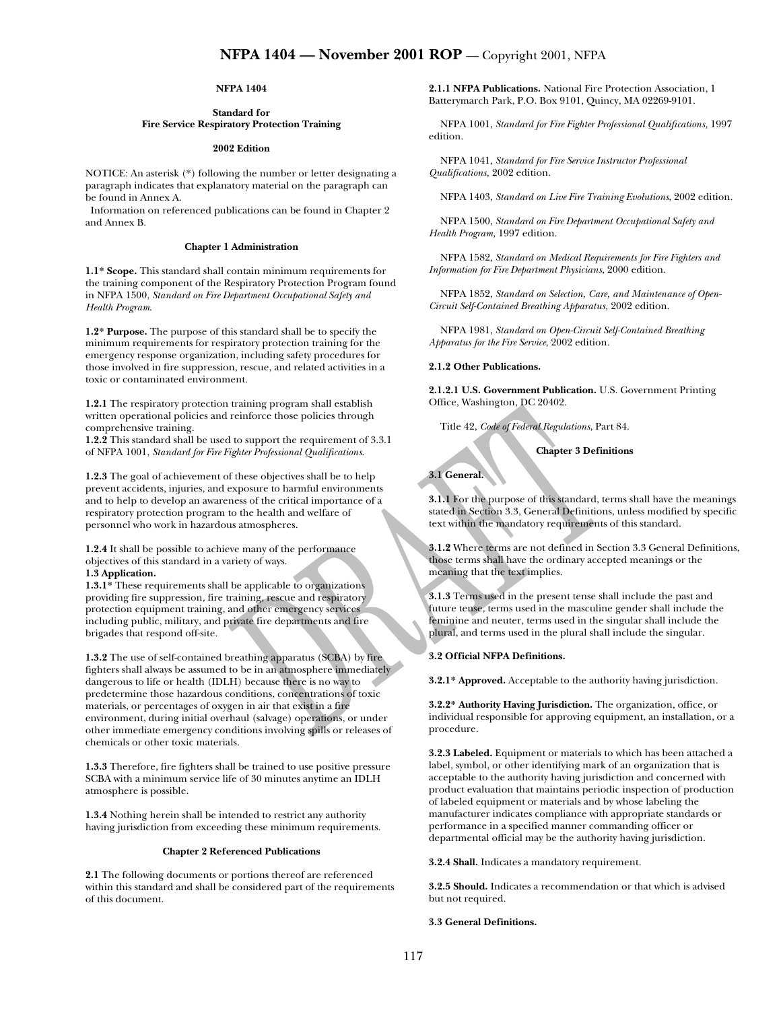# **NFPA 1404**

### **Standard for Fire Service Respiratory Protection Training**

#### **2002 Edition**

NOTICE: An asterisk (\*) following the number or letter designating a paragraph indicates that explanatory material on the paragraph can be found in Annex A.

 Information on referenced publications can be found in Chapter 2 and Annex B.

### **Chapter 1 Administration**

**1.1\* Scope.** This standard shall contain minimum requirements for the training component of the Respiratory Protection Program found in NFPA 1500, *Standard on Fire Department Occupational Safety and Health Program*.

**1.2\* Purpose.** The purpose of this standard shall be to specify the minimum requirements for respiratory protection training for the emergency response organization, including safety procedures for those involved in fire suppression, rescue, and related activities in a toxic or contaminated environment.

**1.2.1** The respiratory protection training program shall establish written operational policies and reinforce those policies through comprehensive training.

**1.2.2** This standard shall be used to support the requirement of 3.3.1 of NFPA 1001, *Standard for Fire Fighter Professional Qualifications*.

**1.2.3** The goal of achievement of these objectives shall be to help prevent accidents, injuries, and exposure to harmful environments and to help to develop an awareness of the critical importance of a respiratory protection program to the health and welfare of personnel who work in hazardous atmospheres.

**1.2.4** It shall be possible to achieve many of the performance objectives of this standard in a variety of ways.

# **1.3 Application.**

**1.3.1\*** These requirements shall be applicable to organizations providing fire suppression, fire training, rescue and respiratory protection equipment training, and other emergency services including public, military, and private fire departments and fire brigades that respond off-site.

**1.3.2** The use of self-contained breathing apparatus (SCBA) by fire fighters shall always be assumed to be in an atmosphere immediately dangerous to life or health (IDLH) because there is no way to predetermine those hazardous conditions, concentrations of toxic materials, or percentages of oxygen in air that exist in a fire environment, during initial overhaul (salvage) operations, or under other immediate emergency conditions involving spills or releases of chemicals or other toxic materials.

**1.3.3** Therefore, fire fighters shall be trained to use positive pressure SCBA with a minimum service life of 30 minutes anytime an IDLH atmosphere is possible.

**1.3.4** Nothing herein shall be intended to restrict any authority having jurisdiction from exceeding these minimum requirements.

#### **Chapter 2 Referenced Publications**

**2.1** The following documents or portions thereof are referenced within this standard and shall be considered part of the requirements of this document.

**2.1.1 NFPA Publications.** National Fire Protection Association, 1 Batterymarch Park, P.O. Box 9101, Quincy, MA 02269-9101.

NFPA 1001, *Standard for Fire Fighter Professional Qualifications,* 1997 edition.

NFPA 1041, *Standard for Fire Service Instructor Professional Qualifications,* 2002 edition.

NFPA 1403, *Standard on Live Fire Training Evolutions*, 2002 edition.

NFPA 1500, *Standard on Fire Department Occupational Safety and Health Program,* 1997 edition.

NFPA 1582, *Standard on Medical Requirements for Fire Fighters and Information for Fire Department Physicians*, 2000 edition.

NFPA 1852, *Standard on Selection, Care, and Maintenance of Open-Circuit Self-Contained Breathing Apparatus,* 2002 edition.

NFPA 1981, *Standard on Open-Circuit Self-Contained Breathing Apparatus for the Fire Service*, 2002 edition.

#### **2.1.2 Other Publications.**

**2.1.2.1 U.S. Government Publication.** U.S. Government Printing Office, Washington, DC 20402.

Title 42, *Code of Federal Regulations*, Part 84.

**Chapter 3 Definitions** 

**3.1 General.** 

**3.1.1** For the purpose of this standard, terms shall have the meanings stated in Section 3.3, General Definitions, unless modified by specific text within the mandatory requirements of this standard.

**3.1.2** Where terms are not defined in Section 3.3 General Definitions, those terms shall have the ordinary accepted meanings or the meaning that the text implies.

**3.1.3** Terms used in the present tense shall include the past and future tense, terms used in the masculine gender shall include the feminine and neuter, terms used in the singular shall include the plural, and terms used in the plural shall include the singular.

### **3.2 Official NFPA Definitions.**

**3.2.1\* Approved.** Acceptable to the authority having jurisdiction.

**3.2.2\* Authority Having Jurisdiction.** The organization, office, or individual responsible for approving equipment, an installation, or a procedure.

**3.2.3 Labeled.** Equipment or materials to which has been attached a label, symbol, or other identifying mark of an organization that is acceptable to the authority having jurisdiction and concerned with product evaluation that maintains periodic inspection of production of labeled equipment or materials and by whose labeling the manufacturer indicates compliance with appropriate standards or performance in a specified manner commanding officer or departmental official may be the authority having jurisdiction.

**3.2.4 Shall.** Indicates a mandatory requirement.

**3.2.5 Should.** Indicates a recommendation or that which is advised but not required.

**3.3 General Definitions.**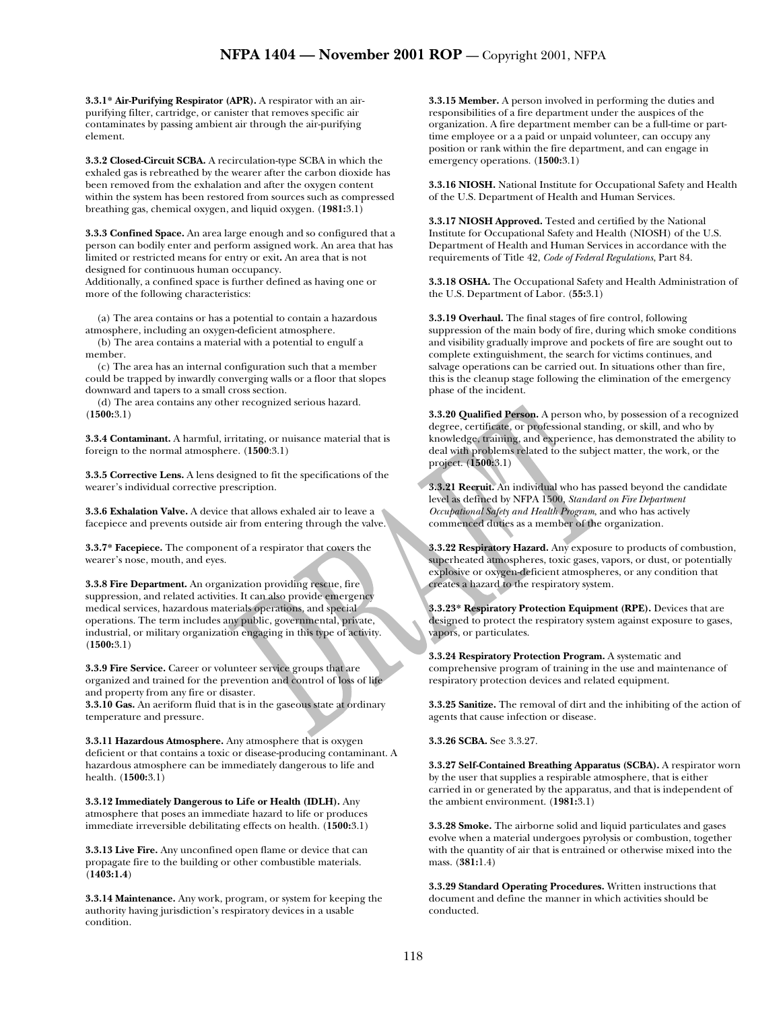**3.3.1\* Air-Purifying Respirator (APR).** A respirator with an airpurifying filter, cartridge, or canister that removes specific air contaminates by passing ambient air through the air-purifying element.

**3.3.2 Closed-Circuit SCBA.** A recirculation-type SCBA in which the exhaled gas is rebreathed by the wearer after the carbon dioxide has been removed from the exhalation and after the oxygen content within the system has been restored from sources such as compressed breathing gas, chemical oxygen, and liquid oxygen. (**1981:**3.1)

**3.3.3 Confined Space.** An area large enough and so configured that a person can bodily enter and perform assigned work. An area that has limited or restricted means for entry or exit**.** An area that is not designed for continuous human occupancy.

Additionally, a confined space is further defined as having one or more of the following characteristics:

(a) The area contains or has a potential to contain a hazardous atmosphere, including an oxygen-deficient atmosphere.

(b) The area contains a material with a potential to engulf a member.

(c) The area has an internal configuration such that a member could be trapped by inwardly converging walls or a floor that slopes downward and tapers to a small cross section.

(d) The area contains any other recognized serious hazard. (**1500:**3.1)

**3.3.4 Contaminant.** A harmful, irritating, or nuisance material that is foreign to the normal atmosphere. (**1500**:3.1)

**3.3.5 Corrective Lens.** A lens designed to fit the specifications of the wearer's individual corrective prescription.

**3.3.6 Exhalation Valve.** A device that allows exhaled air to leave a facepiece and prevents outside air from entering through the valve.

**3.3.7\* Facepiece.** The component of a respirator that covers the wearer's nose, mouth, and eyes.

**3.3.8 Fire Department.** An organization providing rescue, fire suppression, and related activities. It can also provide emergency medical services, hazardous materials operations, and special operations. The term includes any public, governmental, private, industrial, or military organization engaging in this type of activity. (**1500:**3.1)

**3.3.9 Fire Service.** Career or volunteer service groups that are organized and trained for the prevention and control of loss of life and property from any fire or disaster.

**3.3.10 Gas.** An aeriform fluid that is in the gaseous state at ordinary temperature and pressure.

**3.3.11 Hazardous Atmosphere.** Any atmosphere that is oxygen deficient or that contains a toxic or disease-producing contaminant. A hazardous atmosphere can be immediately dangerous to life and health. (**1500:**3.1)

**3.3.12 Immediately Dangerous to Life or Health (IDLH).** Any atmosphere that poses an immediate hazard to life or produces immediate irreversible debilitating effects on health. (**1500:**3.1)

**3.3.13 Live Fire.** Any unconfined open flame or device that can propagate fire to the building or other combustible materials. (**1403:1.4**)

**3.3.14 Maintenance.** Any work, program, or system for keeping the authority having jurisdiction's respiratory devices in a usable condition.

**3.3.15 Member.** A person involved in performing the duties and responsibilities of a fire department under the auspices of the organization. A fire department member can be a full-time or parttime employee or a a paid or unpaid volunteer, can occupy any position or rank within the fire department, and can engage in emergency operations. (**1500:**3.1)

**3.3.16 NIOSH.** National Institute for Occupational Safety and Health of the U.S. Department of Health and Human Services.

**3.3.17 NIOSH Approved.** Tested and certified by the National Institute for Occupational Safety and Health (NIOSH) of the U.S. Department of Health and Human Services in accordance with the requirements of Title 42, *Code of Federal Regulations*, Part 84.

**3.3.18 OSHA.** The Occupational Safety and Health Administration of the U.S. Department of Labor. (**55:**3.1)

**3.3.19 Overhaul.** The final stages of fire control, following suppression of the main body of fire, during which smoke conditions and visibility gradually improve and pockets of fire are sought out to complete extinguishment, the search for victims continues, and salvage operations can be carried out. In situations other than fire, this is the cleanup stage following the elimination of the emergency phase of the incident.

**3.3.20 Qualified Person.** A person who, by possession of a recognized degree, certificate, or professional standing, or skill, and who by knowledge, training, and experience, has demonstrated the ability to deal with problems related to the subject matter, the work, or the project. (**1500:**3.1)

**3.3.21 Recruit.** An individual who has passed beyond the candidate level as defined by NFPA 1500, *Standard on Fire Department Occupational Safety and Health Program*, and who has actively commenced duties as a member of the organization.

**3.3.22 Respiratory Hazard.** Any exposure to products of combustion, superheated atmospheres, toxic gases, vapors, or dust, or potentially explosive or oxygen-deficient atmospheres, or any condition that creates a hazard to the respiratory system.

**3.3.23\* Respiratory Protection Equipment (RPE).** Devices that are designed to protect the respiratory system against exposure to gases, vapors, or particulates.

**3.3.24 Respiratory Protection Program.** A systematic and comprehensive program of training in the use and maintenance of respiratory protection devices and related equipment.

**3.3.25 Sanitize.** The removal of dirt and the inhibiting of the action of agents that cause infection or disease.

**3.3.26 SCBA.** See 3.3.27.

**3.3.27 Self-Contained Breathing Apparatus (SCBA).** A respirator worn by the user that supplies a respirable atmosphere, that is either carried in or generated by the apparatus, and that is independent of the ambient environment. (**1981:**3.1)

**3.3.28 Smoke.** The airborne solid and liquid particulates and gases evolve when a material undergoes pyrolysis or combustion, together with the quantity of air that is entrained or otherwise mixed into the mass. (**381:**1.4)

**3.3.29 Standard Operating Procedures.** Written instructions that document and define the manner in which activities should be conducted.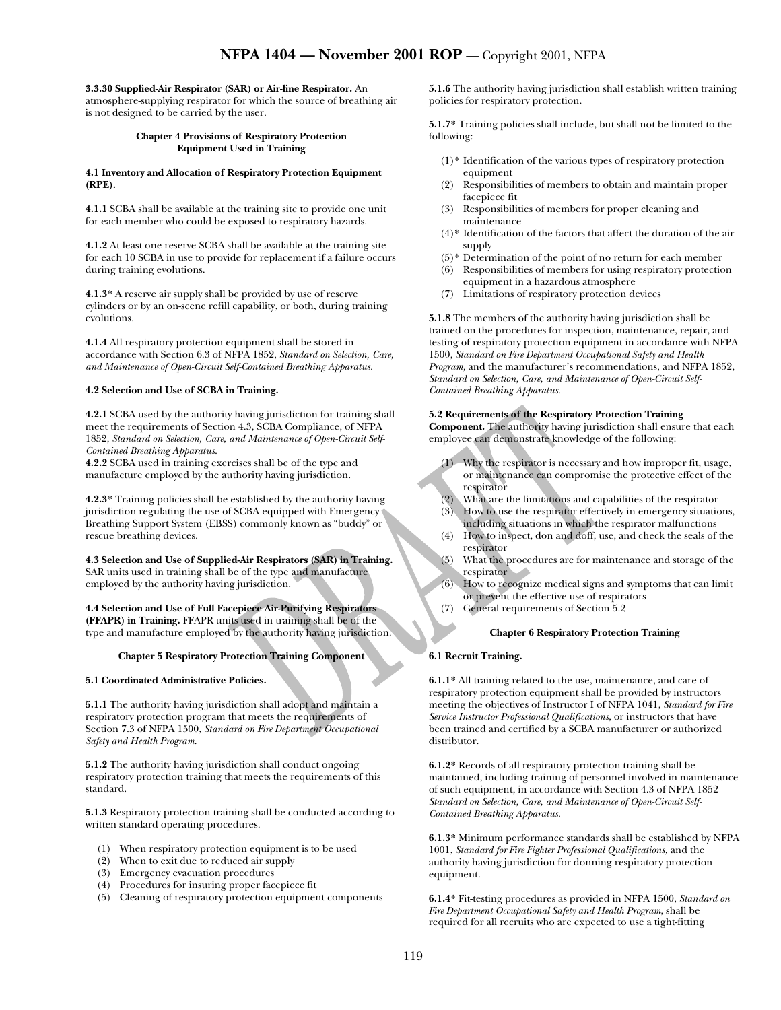**3.3.30 Supplied-Air Respirator (SAR) or Air-line Respirator.** An

atmosphere-supplying respirator for which the source of breathing air is not designed to be carried by the user.

## **Chapter 4 Provisions of Respiratory Protection Equipment Used in Training**

### **4.1 Inventory and Allocation of Respiratory Protection Equipment (RPE).**

**4.1.1** SCBA shall be available at the training site to provide one unit for each member who could be exposed to respiratory hazards.

**4.1.2** At least one reserve SCBA shall be available at the training site for each 10 SCBA in use to provide for replacement if a failure occurs during training evolutions.

**4.1.3\*** A reserve air supply shall be provided by use of reserve cylinders or by an on-scene refill capability, or both, during training evolutions.

**4.1.4** All respiratory protection equipment shall be stored in accordance with Section 6.3 of NFPA 1852, *Standard on Selection, Care, and Maintenance of Open-Circuit Self-Contained Breathing Apparatus*.

# **4.2 Selection and Use of SCBA in Training.**

**4.2.1** SCBA used by the authority having jurisdiction for training shall meet the requirements of Section 4.3, SCBA Compliance, of NFPA 1852, *Standard on Selection, Care, and Maintenance of Open-Circuit Self-Contained Breathing Apparatus*.

**4.2.2** SCBA used in training exercises shall be of the type and manufacture employed by the authority having jurisdiction.

**4.2.3\*** Training policies shall be established by the authority having jurisdiction regulating the use of SCBA equipped with Emergency Breathing Support System (EBSS) commonly known as "buddy" or rescue breathing devices.

**4.3 Selection and Use of Supplied-Air Respirators (SAR) in Training.** SAR units used in training shall be of the type and manufacture employed by the authority having jurisdiction.

**4.4 Selection and Use of Full Facepiece Air-Purifying Respirators (FFAPR) in Training.** FFAPR units used in training shall be of the type and manufacture employed by the authority having jurisdiction.

# **Chapter 5 Respiratory Protection Training Component**

# **5.1 Coordinated Administrative Policies.**

**5.1.1** The authority having jurisdiction shall adopt and maintain a respiratory protection program that meets the requirements of Section 7.3 of NFPA 1500, *Standard on Fire Department Occupational Safety and Health Program.* 

**5.1.2** The authority having jurisdiction shall conduct ongoing respiratory protection training that meets the requirements of this standard.

**5.1.3** Respiratory protection training shall be conducted according to written standard operating procedures.

- (1) When respiratory protection equipment is to be used
- (2) When to exit due to reduced air supply
- (3) Emergency evacuation procedures
- (4) Procedures for insuring proper facepiece fit
- (5) Cleaning of respiratory protection equipment components

**5.1.6** The authority having jurisdiction shall establish written training policies for respiratory protection.

**5.1.7\*** Training policies shall include, but shall not be limited to the following:

- (1)**\*** Identification of the various types of respiratory protection equipment
- (2) Responsibilities of members to obtain and maintain proper facepiece fit
- (3) Responsibilities of members for proper cleaning and maintenance
- (4)\* Identification of the factors that affect the duration of the air supply
- (5)\* Determination of the point of no return for each member
- (6) Responsibilities of members for using respiratory protection equipment in a hazardous atmosphere
- (7) Limitations of respiratory protection devices

**5.1.8** The members of the authority having jurisdiction shall be trained on the procedures for inspection, maintenance, repair, and testing of respiratory protection equipment in accordance with NFPA 1500, *Standard on Fire Department Occupational Safety and Health Program,* and the manufacturer's recommendations, and NFPA 1852, *Standard on Selection, Care, and Maintenance of Open-Circuit Self-Contained Breathing Apparatus*.

# **5.2 Requirements of the Respiratory Protection Training**

**Component.** The authority having jurisdiction shall ensure that each employee can demonstrate knowledge of the following:

- (1) Why the respirator is necessary and how improper fit, usage, or maintenance can compromise the protective effect of the respirator
- (2) What are the limitations and capabilities of the respirator
- (3) How to use the respirator effectively in emergency situations, including situations in which the respirator malfunctions
- (4) How to inspect, don and doff, use, and check the seals of the respirator
- (5) What the procedures are for maintenance and storage of the respirator
- (6) How to recognize medical signs and symptoms that can limit or prevent the effective use of respirators
- (7) General requirements of Section 5.2

# **Chapter 6 Respiratory Protection Training**

# **6.1 Recruit Training.**

**6.1.1\*** All training related to the use, maintenance, and care of respiratory protection equipment shall be provided by instructors meeting the objectives of Instructor I of NFPA 1041, *Standard for Fire Service Instructor Professional Qualifications*, or instructors that have been trained and certified by a SCBA manufacturer or authorized distributor.

**6.1.2\*** Records of all respiratory protection training shall be maintained, including training of personnel involved in maintenance of such equipment, in accordance with Section 4.3 of NFPA 1852 *Standard on Selection, Care, and Maintenance of Open-Circuit Self-Contained Breathing Apparatus*.

**6.1.3\*** Minimum performance standards shall be established by NFPA 1001, *Standard for Fire Fighter Professional Qualifications,* and the authority having jurisdiction for donning respiratory protection equipment.

**6.1.4\*** Fit-testing procedures as provided in NFPA 1500, *Standard on Fire Department Occupational Safety and Health Program*, shall be required for all recruits who are expected to use a tight-fitting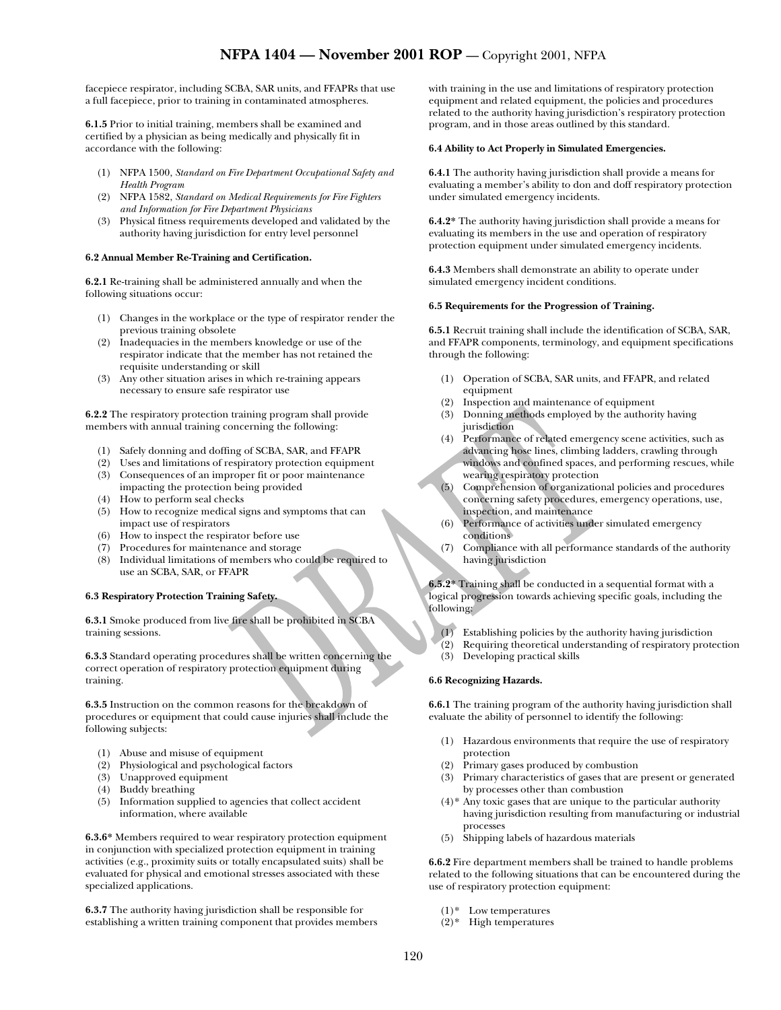facepiece respirator, including SCBA, SAR units, and FFAPRs that use a full facepiece, prior to training in contaminated atmospheres.

**6.1.5** Prior to initial training, members shall be examined and certified by a physician as being medically and physically fit in accordance with the following:

- (1) NFPA 1500, *Standard on Fire Department Occupational Safety and Health Program*
- (2) NFPA 1582, *Standard on Medical Requirements for Fire Fighters and Information for Fire Department Physicians*
- (3) Physical fitness requirements developed and validated by the authority having jurisdiction for entry level personnel

### **6.2 Annual Member Re-Training and Certification.**

**6.2.1** Re-training shall be administered annually and when the following situations occur:

- (1) Changes in the workplace or the type of respirator render the previous training obsolete
- (2) Inadequacies in the members knowledge or use of the respirator indicate that the member has not retained the requisite understanding or skill
- (3) Any other situation arises in which re-training appears necessary to ensure safe respirator use

**6.2.2** The respiratory protection training program shall provide members with annual training concerning the following:

- (1) Safely donning and doffing of SCBA, SAR, and FFAPR
- (2) Uses and limitations of respiratory protection equipment
- (3) Consequences of an improper fit or poor maintenance impacting the protection being provided
- (4) How to perform seal checks
- (5) How to recognize medical signs and symptoms that can impact use of respirators
- (6) How to inspect the respirator before use
- (7) Procedures for maintenance and storage
- (8) Individual limitations of members who could be required to use an SCBA, SAR, or FFAPR

# **6.3 Respiratory Protection Training Safety.**

**6.3.1** Smoke produced from live fire shall be prohibited in SCBA training sessions.

**6.3.3** Standard operating procedures shall be written concerning the correct operation of respiratory protection equipment during training.

**6.3.5** Instruction on the common reasons for the breakdown of procedures or equipment that could cause injuries shall include the following subjects:

- (1) Abuse and misuse of equipment
- (2) Physiological and psychological factors
- (3) Unapproved equipment
- (4) Buddy breathing
- (5) Information supplied to agencies that collect accident information, where available

**6.3.6\*** Members required to wear respiratory protection equipment in conjunction with specialized protection equipment in training activities (e.g., proximity suits or totally encapsulated suits) shall be evaluated for physical and emotional stresses associated with these specialized applications.

**6.3.7** The authority having jurisdiction shall be responsible for establishing a written training component that provides members

with training in the use and limitations of respiratory protection equipment and related equipment, the policies and procedures related to the authority having jurisdiction's respiratory protection program, and in those areas outlined by this standard.

## **6.4 Ability to Act Properly in Simulated Emergencies.**

**6.4.1** The authority having jurisdiction shall provide a means for evaluating a member's ability to don and doff respiratory protection under simulated emergency incidents.

**6.4.2\*** The authority having jurisdiction shall provide a means for evaluating its members in the use and operation of respiratory protection equipment under simulated emergency incidents.

**6.4.3** Members shall demonstrate an ability to operate under simulated emergency incident conditions.

### **6.5 Requirements for the Progression of Training.**

**6.5.1** Recruit training shall include the identification of SCBA, SAR, and FFAPR components, terminology, and equipment specifications through the following:

- (1) Operation of SCBA, SAR units, and FFAPR, and related equipment
- (2) Inspection and maintenance of equipment
- (3) Donning methods employed by the authority having jurisdiction
- (4) Performance of related emergency scene activities, such as advancing hose lines, climbing ladders, crawling through windows and confined spaces, and performing rescues, while wearing respiratory protection
- (5) Comprehension of organizational policies and procedures concerning safety procedures, emergency operations, use, inspection, and maintenance
- (6) Performance of activities under simulated emergency conditions
- (7) Compliance with all performance standards of the authority having jurisdiction

**6.5.2\*** Training shall be conducted in a sequential format with a logical progression towards achieving specific goals, including the following:

- (1) Establishing policies by the authority having jurisdiction
- (2) Requiring theoretical understanding of respiratory protection
- (3) Developing practical skills

# **6.6 Recognizing Hazards.**

**6.6.1** The training program of the authority having jurisdiction shall evaluate the ability of personnel to identify the following:

- (1) Hazardous environments that require the use of respiratory protection
- (2) Primary gases produced by combustion
- (3) Primary characteristics of gases that are present or generated by processes other than combustion
- (4)\* Any toxic gases that are unique to the particular authority having jurisdiction resulting from manufacturing or industrial processes
- (5) Shipping labels of hazardous materials

**6.6.2** Fire department members shall be trained to handle problems related to the following situations that can be encountered during the use of respiratory protection equipment:

- (1)\* Low temperatures
- (2)\* High temperatures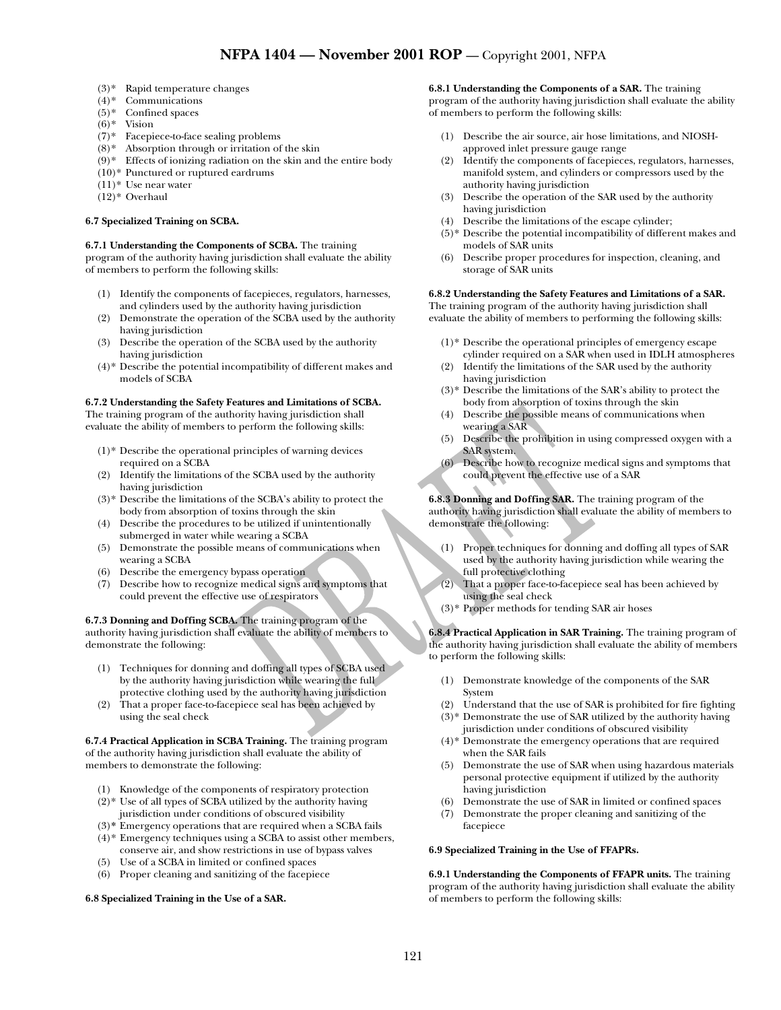- (3)\* Rapid temperature changes
- (4)\* Communications
- $(5)*$  Confined spaces
- $(6)$ <sup>\*</sup> Vision
- (7)\* Facepiece-to-face sealing problems
- (8)\* Absorption through or irritation of the skin
- (9)\* Effects of ionizing radiation on the skin and the entire body
- (10)\* Punctured or ruptured eardrums
- $(11)*$  Use near water
- (12)\* Overhaul

#### **6.7 Specialized Training on SCBA.**

## **6.7.1 Understanding the Components of SCBA.** The training

program of the authority having jurisdiction shall evaluate the ability of members to perform the following skills:

- (1) Identify the components of facepieces, regulators, harnesses, and cylinders used by the authority having jurisdiction
- (2) Demonstrate the operation of the SCBA used by the authority having jurisdiction
- (3) Describe the operation of the SCBA used by the authority having jurisdiction
- (4)\* Describe the potential incompatibility of different makes and models of SCBA

# **6.7.2 Understanding the Safety Features and Limitations of SCBA.**

The training program of the authority having jurisdiction shall evaluate the ability of members to perform the following skills:

- $(1)$ <sup>\*</sup> Describe the operational principles of warning devices required on a SCBA
- (2) Identify the limitations of the SCBA used by the authority having jurisdiction
- (3)\* Describe the limitations of the SCBA's ability to protect the body from absorption of toxins through the skin
- (4) Describe the procedures to be utilized if unintentionally submerged in water while wearing a SCBA
- (5) Demonstrate the possible means of communications when wearing a SCBA
- (6) Describe the emergency bypass operation
- (7) Describe how to recognize medical signs and symptoms that could prevent the effective use of respirators

**6.7.3 Donning and Doffing SCBA.** The training program of the authority having jurisdiction shall evaluate the ability of members to demonstrate the following:

- (1) Techniques for donning and doffing all types of SCBA used by the authority having jurisdiction while wearing the full protective clothing used by the authority having jurisdiction
- (2) That a proper face-to-facepiece seal has been achieved by using the seal check

**6.7.4 Practical Application in SCBA Training.** The training program of the authority having jurisdiction shall evaluate the ability of members to demonstrate the following:

- (1) Knowledge of the components of respiratory protection
- $(2)$ <sup>\*</sup> Use of all types of SCBA utilized by the authority having jurisdiction under conditions of obscured visibility
- (3)**\*** Emergency operations that are required when a SCBA fails
- (4)\* Emergency techniques using a SCBA to assist other members, conserve air, and show restrictions in use of bypass valves
- (5) Use of a SCBA in limited or confined spaces
- (6) Proper cleaning and sanitizing of the facepiece

#### **6.8 Specialized Training in the Use of a SAR.**

#### **6.8.1 Understanding the Components of a SAR.** The training

program of the authority having jurisdiction shall evaluate the ability of members to perform the following skills:

- (1) Describe the air source, air hose limitations, and NIOSHapproved inlet pressure gauge range
- (2) Identify the components of facepieces, regulators, harnesses, manifold system, and cylinders or compressors used by the authority having jurisdiction
- (3) Describe the operation of the SAR used by the authority having jurisdiction
- (4) Describe the limitations of the escape cylinder;
- (5)\* Describe the potential incompatibility of different makes and models of SAR units
- (6) Describe proper procedures for inspection, cleaning, and storage of SAR units

# **6.8.2 Understanding the Safety Features and Limitations of a SAR.**

The training program of the authority having jurisdiction shall evaluate the ability of members to performing the following skills:

- (1)\* Describe the operational principles of emergency escape cylinder required on a SAR when used in IDLH atmospheres
- (2) Identify the limitations of the SAR used by the authority having jurisdiction
- (3)\* Describe the limitations of the SAR's ability to protect the body from absorption of toxins through the skin
- (4) Describe the possible means of communications when wearing a SAR
- (5) Describe the prohibition in using compressed oxygen with a SAR system.
- (6) Describe how to recognize medical signs and symptoms that could prevent the effective use of a SAR

**6.8.3 Donning and Doffing SAR.** The training program of the authority having jurisdiction shall evaluate the ability of members to demonstrate the following:

- (1) Proper techniques for donning and doffing all types of SAR used by the authority having jurisdiction while wearing the full protective clothing
- (2) That a proper face-to-facepiece seal has been achieved by using the seal check
- (3)\* Proper methods for tending SAR air hoses

**6.8.4 Practical Application in SAR Training.** The training program of the authority having jurisdiction shall evaluate the ability of members to perform the following skills:

- (1) Demonstrate knowledge of the components of the SAR System
- (2) Understand that the use of SAR is prohibited for fire fighting
- (3)\* Demonstrate the use of SAR utilized by the authority having jurisdiction under conditions of obscured visibility
- (4)\* Demonstrate the emergency operations that are required when the SAR fails
- (5) Demonstrate the use of SAR when using hazardous materials personal protective equipment if utilized by the authority having jurisdiction
- (6) Demonstrate the use of SAR in limited or confined spaces
- (7) Demonstrate the proper cleaning and sanitizing of the facepiece

#### **6.9 Specialized Training in the Use of FFAPRs.**

**6.9.1 Understanding the Components of FFAPR units.** The training program of the authority having jurisdiction shall evaluate the ability of members to perform the following skills: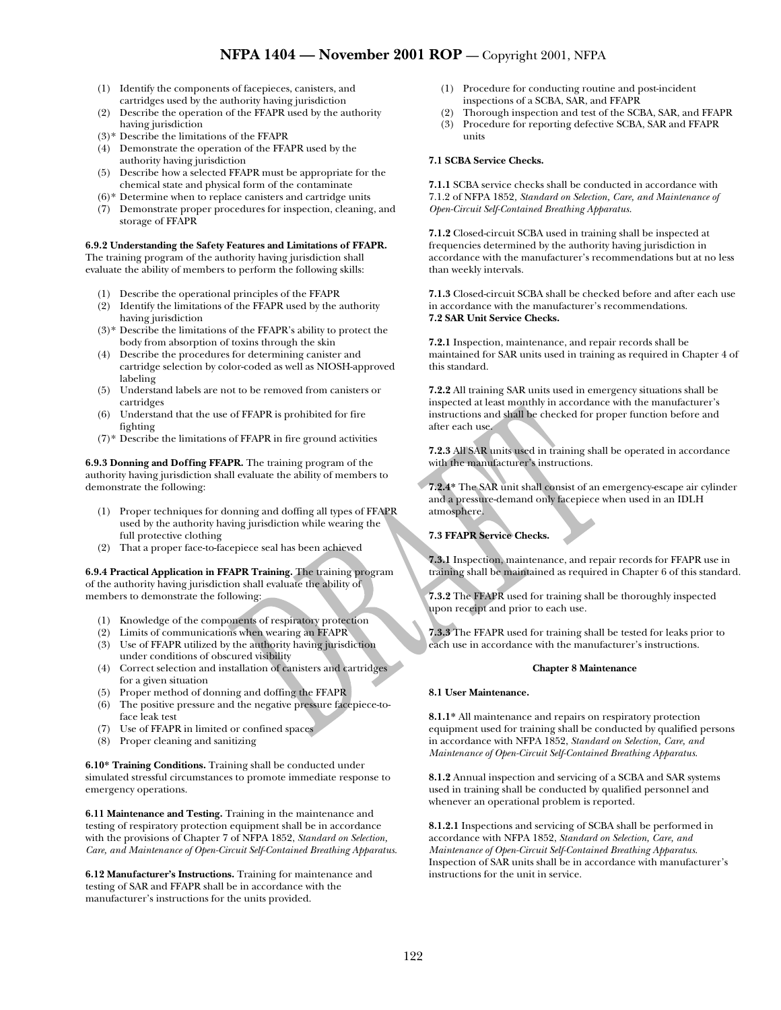- (1) Identify the components of facepieces, canisters, and cartridges used by the authority having jurisdiction
- (2) Describe the operation of the FFAPR used by the authority having jurisdiction
- (3)\* Describe the limitations of the FFAPR
- (4) Demonstrate the operation of the FFAPR used by the authority having jurisdiction
- (5) Describe how a selected FFAPR must be appropriate for the chemical state and physical form of the contaminate
- (6)\* Determine when to replace canisters and cartridge units
- (7) Demonstrate proper procedures for inspection, cleaning, and storage of FFAPR

## **6.9.2 Understanding the Safety Features and Limitations of FFAPR.**

The training program of the authority having jurisdiction shall evaluate the ability of members to perform the following skills:

- (1) Describe the operational principles of the FFAPR
- (2) Identify the limitations of the FFAPR used by the authority having jurisdiction
- (3)\* Describe the limitations of the FFAPR's ability to protect the body from absorption of toxins through the skin
- (4) Describe the procedures for determining canister and cartridge selection by color-coded as well as NIOSH-approved labeling
- (5) Understand labels are not to be removed from canisters or cartridges
- (6) Understand that the use of FFAPR is prohibited for fire fighting
- $(7)$ <sup>\*</sup> Describe the limitations of FFAPR in fire ground activities

**6.9.3 Donning and Doffing FFAPR.** The training program of the authority having jurisdiction shall evaluate the ability of members to demonstrate the following:

- (1) Proper techniques for donning and doffing all types of FFAPR used by the authority having jurisdiction while wearing the full protective clothing
- (2) That a proper face-to-facepiece seal has been achieved

**6.9.4 Practical Application in FFAPR Training.** The training program of the authority having jurisdiction shall evaluate the ability of members to demonstrate the following:

- (1) Knowledge of the components of respiratory protection
- (2) Limits of communications when wearing an FFAPR
- (3) Use of FFAPR utilized by the authority having jurisdiction under conditions of obscured visibility
- (4) Correct selection and installation of canisters and cartridges for a given situation
- (5) Proper method of donning and doffing the FFAPR
- (6) The positive pressure and the negative pressure facepiece-toface leak test
- (7) Use of FFAPR in limited or confined spaces
- (8) Proper cleaning and sanitizing

**6.10\* Training Conditions.** Training shall be conducted under simulated stressful circumstances to promote immediate response to emergency operations.

**6.11 Maintenance and Testing.** Training in the maintenance and testing of respiratory protection equipment shall be in accordance with the provisions of Chapter 7 of NFPA 1852, *Standard on Selection, Care, and Maintenance of Open-Circuit Self-Contained Breathing Apparatus*.

**6.12 Manufacturer's Instructions.** Training for maintenance and testing of SAR and FFAPR shall be in accordance with the manufacturer's instructions for the units provided.

- (1) Procedure for conducting routine and post-incident inspections of a SCBA, SAR, and FFAPR
- (2) Thorough inspection and test of the SCBA, SAR, and FFAPR
- Procedure for reporting defective SCBA, SAR and FFAPR units

## **7.1 SCBA Service Checks.**

**7.1.1** SCBA service checks shall be conducted in accordance with 7.1.2 of NFPA 1852*, Standard on Selection, Care, and Maintenance of Open-Circuit Self-Contained Breathing Apparatus*.

**7.1.2** Closed-circuit SCBA used in training shall be inspected at frequencies determined by the authority having jurisdiction in accordance with the manufacturer's recommendations but at no less than weekly intervals.

**7.1.3** Closed-circuit SCBA shall be checked before and after each use in accordance with the manufacturer's recommendations. **7.2 SAR Unit Service Checks.** 

**7.2.1** Inspection, maintenance, and repair records shall be maintained for SAR units used in training as required in Chapter 4 of this standard.

**7.2.2** All training SAR units used in emergency situations shall be inspected at least monthly in accordance with the manufacturer's instructions and shall be checked for proper function before and after each use.

**7.2.3** All SAR units used in training shall be operated in accordance with the manufacturer's instructions.

**7.2.4\*** The SAR unit shall consist of an emergency-escape air cylinder and a pressure-demand only facepiece when used in an IDLH atmosphere.

# **7.3 FFAPR Service Checks.**

**7.3.1** Inspection, maintenance, and repair records for FFAPR use in training shall be maintained as required in Chapter 6 of this standard.

**7.3.2** The FFAPR used for training shall be thoroughly inspected upon receipt and prior to each use.

**7.3.3** The FFAPR used for training shall be tested for leaks prior to each use in accordance with the manufacturer's instructions.

# **Chapter 8 Maintenance**

# **8.1 User Maintenance.**

**8.1.1\*** All maintenance and repairs on respiratory protection equipment used for training shall be conducted by qualified persons in accordance with NFPA 1852, *Standard on Selection, Care, and Maintenance of Open-Circuit Self-Contained Breathing Apparatus*.

**8.1.2** Annual inspection and servicing of a SCBA and SAR systems used in training shall be conducted by qualified personnel and whenever an operational problem is reported.

**8.1.2.1** Inspections and servicing of SCBA shall be performed in accordance with NFPA 1852, *Standard on Selection, Care, and Maintenance of Open-Circuit Self-Contained Breathing Apparatus*. Inspection of SAR units shall be in accordance with manufacturer's instructions for the unit in service.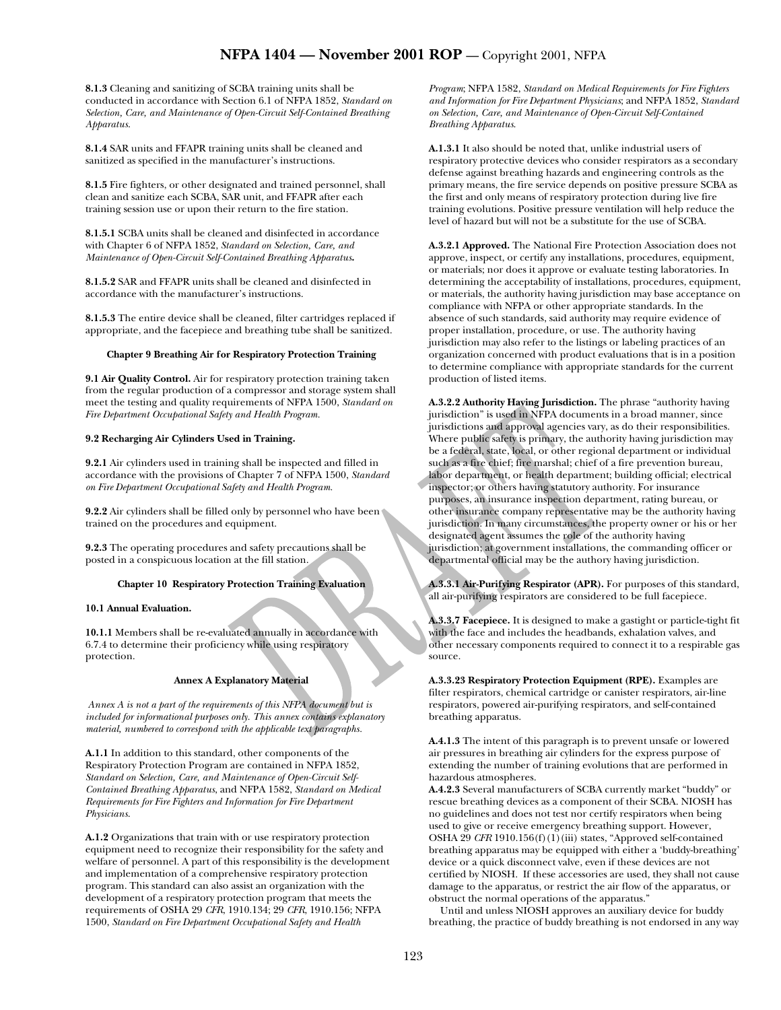**8.1.3** Cleaning and sanitizing of SCBA training units shall be conducted in accordance with Section 6.1 of NFPA 1852, *Standard on Selection, Care, and Maintenance of Open-Circuit Self-Contained Breathing Apparatus*.

**8.1.4** SAR units and FFAPR training units shall be cleaned and sanitized as specified in the manufacturer's instructions.

**8.1.5** Fire fighters, or other designated and trained personnel, shall clean and sanitize each SCBA, SAR unit, and FFAPR after each training session use or upon their return to the fire station.

**8.1.5.1** SCBA units shall be cleaned and disinfected in accordance with Chapter 6 of NFPA 1852, *Standard on Selection, Care, and Maintenance of Open-Circuit Self-Contained Breathing Apparatus***.**

**8.1.5.2** SAR and FFAPR units shall be cleaned and disinfected in accordance with the manufacturer's instructions.

**8.1.5.3** The entire device shall be cleaned, filter cartridges replaced if appropriate, and the facepiece and breathing tube shall be sanitized.

### **Chapter 9 Breathing Air for Respiratory Protection Training**

**9.1 Air Quality Control.** Air for respiratory protection training taken from the regular production of a compressor and storage system shall meet the testing and quality requirements of NFPA 1500, *Standard on Fire Department Occupational Safety and Health Program.*

# **9.2 Recharging Air Cylinders Used in Training.**

**9.2.1** Air cylinders used in training shall be inspected and filled in accordance with the provisions of Chapter 7 of NFPA 1500, *Standard on Fire Department Occupational Safety and Health Program.*

**9.2.2** Air cylinders shall be filled only by personnel who have been trained on the procedures and equipment.

**9.2.3** The operating procedures and safety precautions shall be posted in a conspicuous location at the fill station.

# **Chapter 10 Respiratory Protection Training Evaluation**

# **10.1 Annual Evaluation.**

**10.1.1** Members shall be re-evaluated annually in accordance with 6.7.4 to determine their proficiency while using respiratory protection.

#### **Annex A Explanatory Material**

 *Annex A is not a part of the requirements of this NFPA document but is*  included for informational purposes only. This annex contains explanatory *material, numbered to correspond with the applicable text paragraphs.* 

**A.1.1** In addition to this standard, other components of the Respiratory Protection Program are contained in NFPA 1852, *Standard on Selection, Care, and Maintenance of Open-Circuit Self-Contained Breathing Apparatus*, and NFPA 1582, *Standard on Medical Requirements for Fire Fighters and Information for Fire Department Physicians*.

**A.1.2** Organizations that train with or use respiratory protection equipment need to recognize their responsibility for the safety and welfare of personnel. A part of this responsibility is the development and implementation of a comprehensive respiratory protection program. This standard can also assist an organization with the development of a respiratory protection program that meets the requirements of OSHA 29 *CFR*, 1910.134; 29 *CFR*, 1910.156; NFPA 1500, *Standard on Fire Department Occupational Safety and Health* 

*Program*; NFPA 1582, *Standard on Medical Requirements for Fire Fighters and Information for Fire Department Physicians*; and NFPA 1852, *Standard on Selection, Care, and Maintenance of Open-Circuit Self-Contained Breathing Apparatus*.

**A.1.3.1** It also should be noted that, unlike industrial users of respiratory protective devices who consider respirators as a secondary defense against breathing hazards and engineering controls as the primary means, the fire service depends on positive pressure SCBA as the first and only means of respiratory protection during live fire training evolutions. Positive pressure ventilation will help reduce the level of hazard but will not be a substitute for the use of SCBA.

**A.3.2.1 Approved.** The National Fire Protection Association does not approve, inspect, or certify any installations, procedures, equipment, or materials; nor does it approve or evaluate testing laboratories. In determining the acceptability of installations, procedures, equipment, or materials, the authority having jurisdiction may base acceptance on compliance with NFPA or other appropriate standards. In the absence of such standards, said authority may require evidence of proper installation, procedure, or use. The authority having jurisdiction may also refer to the listings or labeling practices of an organization concerned with product evaluations that is in a position to determine compliance with appropriate standards for the current production of listed items.

**A.3.2.2 Authority Having Jurisdiction.** The phrase "authority having jurisdiction" is used in NFPA documents in a broad manner, since jurisdictions and approval agencies vary, as do their responsibilities. Where public safety is primary, the authority having jurisdiction may be a federal, state, local, or other regional department or individual such as a fire chief; fire marshal; chief of a fire prevention bureau, labor department, or health department; building official; electrical inspector; or others having statutory authority. For insurance purposes, an insurance inspection department, rating bureau, or other insurance company representative may be the authority having jurisdiction. In many circumstances, the property owner or his or her designated agent assumes the role of the authority having jurisdiction; at government installations, the commanding officer or departmental official may be the authory having jurisdiction.

**A.3.3.1 Air-Purifying Respirator (APR).** For purposes of this standard, all air-purifying respirators are considered to be full facepiece.

**A.3.3.7 Facepiece.** It is designed to make a gastight or particle-tight fit with the face and includes the headbands, exhalation valves, and other necessary components required to connect it to a respirable gas source.

**A.3.3.23 Respiratory Protection Equipment (RPE).** Examples are filter respirators, chemical cartridge or canister respirators, air-line respirators, powered air-purifying respirators, and self-contained breathing apparatus.

**A.4.1.3** The intent of this paragraph is to prevent unsafe or lowered air pressures in breathing air cylinders for the express purpose of extending the number of training evolutions that are performed in hazardous atmospheres.

**A.4.2.3** Several manufacturers of SCBA currently market "buddy" or rescue breathing devices as a component of their SCBA. NIOSH has no guidelines and does not test nor certify respirators when being used to give or receive emergency breathing support. However, OSHA 29 *CFR* 1910.156(f)(1)(iii) states, "Approved self-contained breathing apparatus may be equipped with either a 'buddy-breathing' device or a quick disconnect valve, even if these devices are not certified by NIOSH. If these accessories are used, they shall not cause damage to the apparatus, or restrict the air flow of the apparatus, or obstruct the normal operations of the apparatus."

Until and unless NIOSH approves an auxiliary device for buddy breathing, the practice of buddy breathing is not endorsed in any way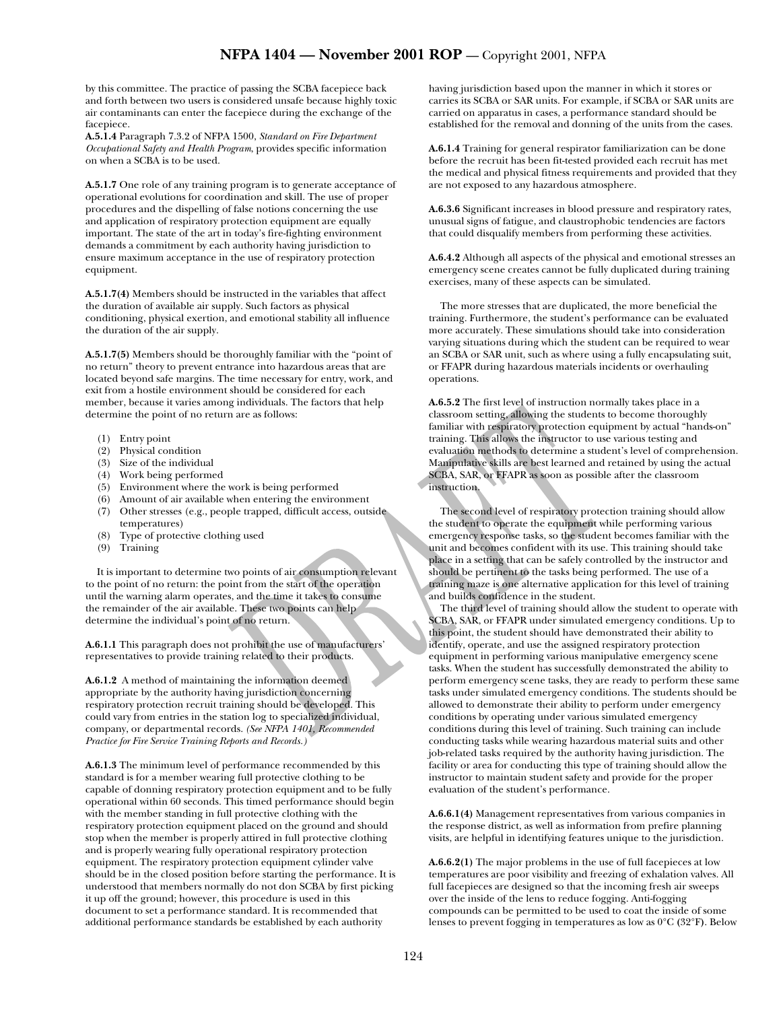by this committee. The practice of passing the SCBA facepiece back and forth between two users is considered unsafe because highly toxic air contaminants can enter the facepiece during the exchange of the facepiece.

**A.5.1.4** Paragraph 7.3.2 of NFPA 1500, *Standard on Fire Department Occupational Safety and Health Program*, provides specific information on when a SCBA is to be used.

**A.5.1.7** One role of any training program is to generate acceptance of operational evolutions for coordination and skill. The use of proper procedures and the dispelling of false notions concerning the use and application of respiratory protection equipment are equally important. The state of the art in today's fire-fighting environment demands a commitment by each authority having jurisdiction to ensure maximum acceptance in the use of respiratory protection equipment.

**A.5.1.7(4)** Members should be instructed in the variables that affect the duration of available air supply. Such factors as physical conditioning, physical exertion, and emotional stability all influence the duration of the air supply.

**A.5.1.7(5)** Members should be thoroughly familiar with the "point of no return" theory to prevent entrance into hazardous areas that are located beyond safe margins. The time necessary for entry, work, and exit from a hostile environment should be considered for each member, because it varies among individuals. The factors that help determine the point of no return are as follows:

- (1) Entry point
- (2) Physical condition
- (3) Size of the individual
- (4) Work being performed
- (5) Environment where the work is being performed
- (6) Amount of air available when entering the environment
- (7) Other stresses (e.g., people trapped, difficult access, outside temperatures)
- (8) Type of protective clothing used
- (9) Training

It is important to determine two points of air consumption relevant to the point of no return: the point from the start of the operation until the warning alarm operates, and the time it takes to consume the remainder of the air available. These two points can help determine the individual's point of no return.

**A.6.1.1** This paragraph does not prohibit the use of manufacturers' representatives to provide training related to their products.

**A.6.1.2** A method of maintaining the information deemed appropriate by the authority having jurisdiction concerning respiratory protection recruit training should be developed. This could vary from entries in the station log to specialized individual, company, or departmental records. *(See NFPA 1401, Recommended Practice for Fire Service Training Reports and Records.)*

**A.6.1.3** The minimum level of performance recommended by this standard is for a member wearing full protective clothing to be capable of donning respiratory protection equipment and to be fully operational within 60 seconds. This timed performance should begin with the member standing in full protective clothing with the respiratory protection equipment placed on the ground and should stop when the member is properly attired in full protective clothing and is properly wearing fully operational respiratory protection equipment. The respiratory protection equipment cylinder valve should be in the closed position before starting the performance. It is understood that members normally do not don SCBA by first picking it up off the ground; however, this procedure is used in this document to set a performance standard. It is recommended that additional performance standards be established by each authority

having jurisdiction based upon the manner in which it stores or carries its SCBA or SAR units. For example, if SCBA or SAR units are carried on apparatus in cases, a performance standard should be established for the removal and donning of the units from the cases.

**A.6.1.4** Training for general respirator familiarization can be done before the recruit has been fit-tested provided each recruit has met the medical and physical fitness requirements and provided that they are not exposed to any hazardous atmosphere.

**A.6.3.6** Significant increases in blood pressure and respiratory rates, unusual signs of fatigue, and claustrophobic tendencies are factors that could disqualify members from performing these activities.

**A.6.4.2** Although all aspects of the physical and emotional stresses an emergency scene creates cannot be fully duplicated during training exercises, many of these aspects can be simulated.

The more stresses that are duplicated, the more beneficial the training. Furthermore, the student's performance can be evaluated more accurately. These simulations should take into consideration varying situations during which the student can be required to wear an SCBA or SAR unit, such as where using a fully encapsulating suit, or FFAPR during hazardous materials incidents or overhauling operations.

**A.6.5.2** The first level of instruction normally takes place in a classroom setting, allowing the students to become thoroughly familiar with respiratory protection equipment by actual "hands-on" training. This allows the instructor to use various testing and evaluation methods to determine a student's level of comprehension. Manipulative skills are best learned and retained by using the actual SCBA, SAR, or FFAPR as soon as possible after the classroom instruction.

The second level of respiratory protection training should allow the student to operate the equipment while performing various emergency response tasks, so the student becomes familiar with the unit and becomes confident with its use. This training should take place in a setting that can be safely controlled by the instructor and should be pertinent to the tasks being performed. The use of a training maze is one alternative application for this level of training and builds confidence in the student.

The third level of training should allow the student to operate with SCBA, SAR, or FFAPR under simulated emergency conditions. Up to this point, the student should have demonstrated their ability to identify, operate, and use the assigned respiratory protection equipment in performing various manipulative emergency scene tasks. When the student has successfully demonstrated the ability to perform emergency scene tasks, they are ready to perform these same tasks under simulated emergency conditions. The students should be allowed to demonstrate their ability to perform under emergency conditions by operating under various simulated emergency conditions during this level of training. Such training can include conducting tasks while wearing hazardous material suits and other job-related tasks required by the authority having jurisdiction. The facility or area for conducting this type of training should allow the instructor to maintain student safety and provide for the proper evaluation of the student's performance.

**A.6.6.1(4)** Management representatives from various companies in the response district, as well as information from prefire planning visits, are helpful in identifying features unique to the jurisdiction.

**A.6.6.2(1)** The major problems in the use of full facepieces at low temperatures are poor visibility and freezing of exhalation valves. All full facepieces are designed so that the incoming fresh air sweeps over the inside of the lens to reduce fogging. Anti-fogging compounds can be permitted to be used to coat the inside of some lenses to prevent fogging in temperatures as low as 0°C **(**32°F**)**. Below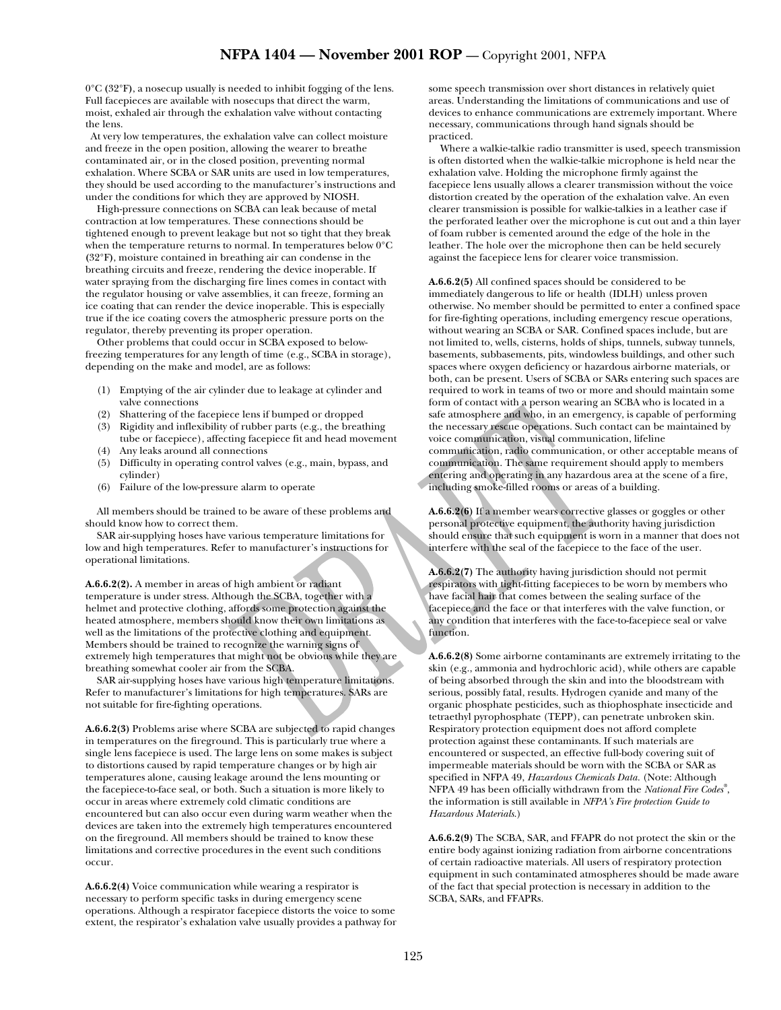0°C **(**32°F**)**, a nosecup usually is needed to inhibit fogging of the lens. Full facepieces are available with nosecups that direct the warm, moist, exhaled air through the exhalation valve without contacting the lens.

 At very low temperatures, the exhalation valve can collect moisture and freeze in the open position, allowing the wearer to breathe contaminated air, or in the closed position, preventing normal exhalation. Where SCBA or SAR units are used in low temperatures, they should be used according to the manufacturer's instructions and under the conditions for which they are approved by NIOSH.

High-pressure connections on SCBA can leak because of metal contraction at low temperatures. These connections should be tightened enough to prevent leakage but not so tight that they break when the temperature returns to normal. In temperatures below 0°C **(**32°F**)**, moisture contained in breathing air can condense in the breathing circuits and freeze, rendering the device inoperable. If water spraying from the discharging fire lines comes in contact with the regulator housing or valve assemblies, it can freeze, forming an ice coating that can render the device inoperable. This is especially true if the ice coating covers the atmospheric pressure ports on the regulator, thereby preventing its proper operation.

Other problems that could occur in SCBA exposed to belowfreezing temperatures for any length of time (e.g., SCBA in storage), depending on the make and model, are as follows:

- (1) Emptying of the air cylinder due to leakage at cylinder and valve connections
- (2) Shattering of the facepiece lens if bumped or dropped
- (3) Rigidity and inflexibility of rubber parts (e.g., the breathing tube or facepiece), affecting facepiece fit and head movement
- (4) Any leaks around all connections
- (5) Difficulty in operating control valves (e.g., main, bypass, and cylinder)
- (6) Failure of the low-pressure alarm to operate

All members should be trained to be aware of these problems and should know how to correct them.

SAR air-supplying hoses have various temperature limitations for low and high temperatures. Refer to manufacturer's instructions for operational limitations.

**A.6.6.2(2).** A member in areas of high ambient or radiant temperature is under stress. Although the SCBA, together with a helmet and protective clothing, affords some protection against the heated atmosphere, members should know their own limitations as well as the limitations of the protective clothing and equipment. Members should be trained to recognize the warning signs of extremely high temperatures that might not be obvious while they are breathing somewhat cooler air from the SCBA.

SAR air-supplying hoses have various high temperature limitations. Refer to manufacturer's limitations for high temperatures. SARs are not suitable for fire-fighting operations.

**A.6.6.2(3)** Problems arise where SCBA are subjected to rapid changes in temperatures on the fireground. This is particularly true where a single lens facepiece is used. The large lens on some makes is subject to distortions caused by rapid temperature changes or by high air temperatures alone, causing leakage around the lens mounting or the facepiece-to-face seal, or both. Such a situation is more likely to occur in areas where extremely cold climatic conditions are encountered but can also occur even during warm weather when the devices are taken into the extremely high temperatures encountered on the fireground. All members should be trained to know these limitations and corrective procedures in the event such conditions occur.

**A.6.6.2(4)** Voice communication while wearing a respirator is necessary to perform specific tasks in during emergency scene operations. Although a respirator facepiece distorts the voice to some extent, the respirator's exhalation valve usually provides a pathway for some speech transmission over short distances in relatively quiet areas. Understanding the limitations of communications and use of devices to enhance communications are extremely important. Where necessary, communications through hand signals should be practiced.

Where a walkie-talkie radio transmitter is used, speech transmission is often distorted when the walkie-talkie microphone is held near the exhalation valve. Holding the microphone firmly against the facepiece lens usually allows a clearer transmission without the voice distortion created by the operation of the exhalation valve. An even clearer transmission is possible for walkie-talkies in a leather case if the perforated leather over the microphone is cut out and a thin layer of foam rubber is cemented around the edge of the hole in the leather. The hole over the microphone then can be held securely against the facepiece lens for clearer voice transmission.

**A.6.6.2(5)** All confined spaces should be considered to be immediately dangerous to life or health (IDLH) unless proven otherwise. No member should be permitted to enter a confined space for fire-fighting operations, including emergency rescue operations, without wearing an SCBA or SAR. Confined spaces include, but are not limited to, wells, cisterns, holds of ships, tunnels, subway tunnels, basements, subbasements, pits, windowless buildings, and other such spaces where oxygen deficiency or hazardous airborne materials, or both, can be present. Users of SCBA or SARs entering such spaces are required to work in teams of two or more and should maintain some form of contact with a person wearing an SCBA who is located in a safe atmosphere and who, in an emergency, is capable of performing the necessary rescue operations. Such contact can be maintained by voice communication, visual communication, lifeline communication, radio communication, or other acceptable means of communication. The same requirement should apply to members entering and operating in any hazardous area at the scene of a fire, including smoke-filled rooms or areas of a building.

**A.6.6.2(6)** If a member wears corrective glasses or goggles or other personal protective equipment, the authority having jurisdiction should ensure that such equipment is worn in a manner that does not interfere with the seal of the facepiece to the face of the user.

**A.6.6.2(7)** The authority having jurisdiction should not permit respirators with tight-fitting facepieces to be worn by members who have facial hair that comes between the sealing surface of the facepiece and the face or that interferes with the valve function, or any condition that interferes with the face-to-facepiece seal or valve function.

**A.6.6.2(8)** Some airborne contaminants are extremely irritating to the skin (e.g., ammonia and hydrochloric acid), while others are capable of being absorbed through the skin and into the bloodstream with serious, possibly fatal, results. Hydrogen cyanide and many of the organic phosphate pesticides, such as thiophosphate insecticide and tetraethyl pyrophosphate (TEPP), can penetrate unbroken skin. Respiratory protection equipment does not afford complete protection against these contaminants. If such materials are encountered or suspected, an effective full-body covering suit of impermeable materials should be worn with the SCBA or SAR as specified in NFPA 49, *Hazardous Chemicals Data.* (Note: Although NFPA 49 has been officially withdrawn from the *National Fire Codes®* , the information is still available in *NFPA's Fire protection Guide to Hazardous Materials*.)

**A.6.6.2(9)** The SCBA, SAR, and FFAPR do not protect the skin or the entire body against ionizing radiation from airborne concentrations of certain radioactive materials. All users of respiratory protection equipment in such contaminated atmospheres should be made aware of the fact that special protection is necessary in addition to the SCBA, SARs, and FFAPRs.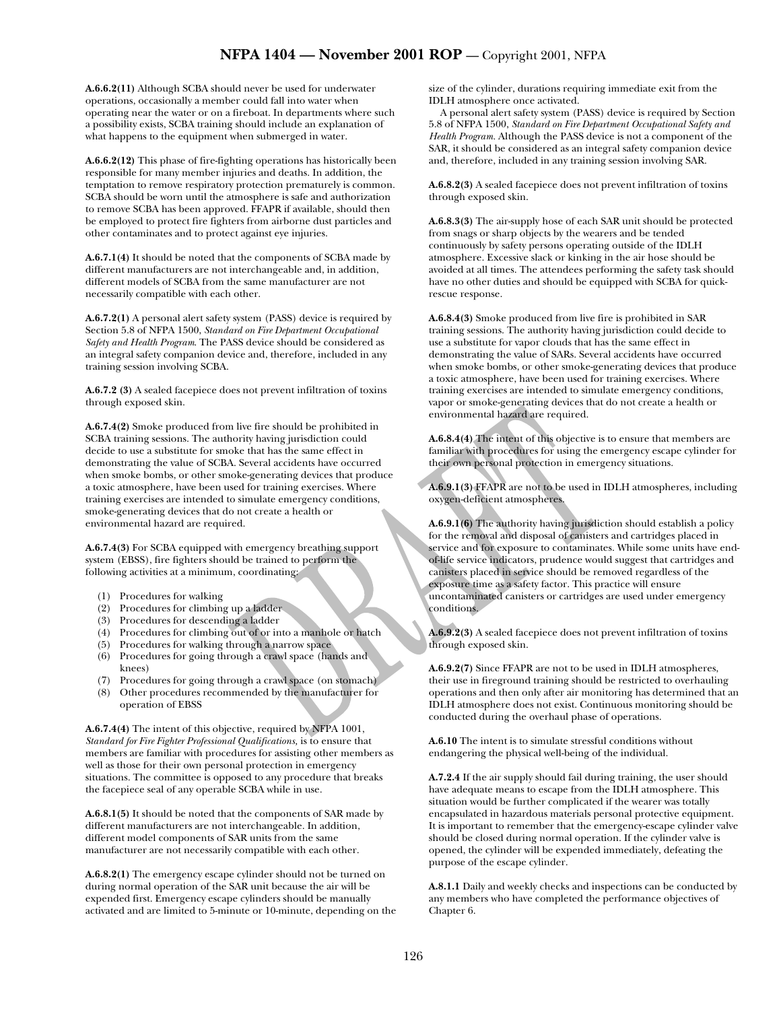**A.6.6.2(11)** Although SCBA should never be used for underwater operations, occasionally a member could fall into water when operating near the water or on a fireboat. In departments where such a possibility exists, SCBA training should include an explanation of what happens to the equipment when submerged in water.

**A.6.6.2(12)** This phase of fire-fighting operations has historically been responsible for many member injuries and deaths. In addition, the temptation to remove respiratory protection prematurely is common. SCBA should be worn until the atmosphere is safe and authorization to remove SCBA has been approved. FFAPR if available, should then be employed to protect fire fighters from airborne dust particles and other contaminates and to protect against eye injuries.

**A.6.7.1(4)** It should be noted that the components of SCBA made by different manufacturers are not interchangeable and, in addition, different models of SCBA from the same manufacturer are not necessarily compatible with each other.

**A.6.7.2(1)** A personal alert safety system (PASS) device is required by Section 5.8 of NFPA 1500, *Standard on Fire Department Occupational Safety and Health Program*. The PASS device should be considered as an integral safety companion device and, therefore, included in any training session involving SCBA.

**A.6.7.2 (3)** A sealed facepiece does not prevent infiltration of toxins through exposed skin.

**A.6.7.4(2)** Smoke produced from live fire should be prohibited in SCBA training sessions. The authority having jurisdiction could decide to use a substitute for smoke that has the same effect in demonstrating the value of SCBA. Several accidents have occurred when smoke bombs, or other smoke-generating devices that produce a toxic atmosphere, have been used for training exercises. Where training exercises are intended to simulate emergency conditions, smoke-generating devices that do not create a health or environmental hazard are required.

**A.6.7.4(3)** For SCBA equipped with emergency breathing support system (EBSS), fire fighters should be trained to perform the following activities at a minimum, coordinating:

- (1) Procedures for walking
- (2) Procedures for climbing up a ladder
- (3) Procedures for descending a ladder
- (4) Procedures for climbing out of or into a manhole or hatch
- (5) Procedures for walking through a narrow space
- (6) Procedures for going through a crawl space (hands and knees)
- (7) Procedures for going through a crawl space (on stomach)
- (8) Other procedures recommended by the manufacturer for operation of EBSS

**A.6.7.4(4)** The intent of this objective, required by NFPA 1001, *Standard for Fire Fighter Professional Qualifications,* is to ensure that members are familiar with procedures for assisting other members as well as those for their own personal protection in emergency situations. The committee is opposed to any procedure that breaks the facepiece seal of any operable SCBA while in use.

**A.6.8.1(5)** It should be noted that the components of SAR made by different manufacturers are not interchangeable. In addition, different model components of SAR units from the same manufacturer are not necessarily compatible with each other.

**A.6.8.2(1)** The emergency escape cylinder should not be turned on during normal operation of the SAR unit because the air will be expended first. Emergency escape cylinders should be manually activated and are limited to 5-minute or 10-minute, depending on the size of the cylinder, durations requiring immediate exit from the IDLH atmosphere once activated.

A personal alert safety system (PASS) device is required by Section 5.8 of NFPA 1500, *Standard on Fire Department Occupational Safety and Health Program.* Although the PASS device is not a component of the SAR, it should be considered as an integral safety companion device and, therefore, included in any training session involving SAR.

**A.6.8.2(3)** A sealed facepiece does not prevent infiltration of toxins through exposed skin.

**A.6.8.3(3)** The air-supply hose of each SAR unit should be protected from snags or sharp objects by the wearers and be tended continuously by safety persons operating outside of the IDLH atmosphere. Excessive slack or kinking in the air hose should be avoided at all times. The attendees performing the safety task should have no other duties and should be equipped with SCBA for quickrescue response.

**A.6.8.4(3)** Smoke produced from live fire is prohibited in SAR training sessions. The authority having jurisdiction could decide to use a substitute for vapor clouds that has the same effect in demonstrating the value of SARs. Several accidents have occurred when smoke bombs, or other smoke-generating devices that produce a toxic atmosphere, have been used for training exercises. Where training exercises are intended to simulate emergency conditions, vapor or smoke-generating devices that do not create a health or environmental hazard are required.

**A.6.8.4(4)** The intent of this objective is to ensure that members are familiar with procedures for using the emergency escape cylinder for their own personal protection in emergency situations.

**A.6.9.1(3)** FFAPR are not to be used in IDLH atmospheres, including oxygen-deficient atmospheres.

**A.6.9.1(6)** The authority having jurisdiction should establish a policy for the removal and disposal of canisters and cartridges placed in service and for exposure to contaminates. While some units have endof-life service indicators, prudence would suggest that cartridges and canisters placed in service should be removed regardless of the exposure time as a safety factor. This practice will ensure uncontaminated canisters or cartridges are used under emergency conditions.

**A.6.9.2(3)** A sealed facepiece does not prevent infiltration of toxins through exposed skin.

**A.6.9.2(7)** Since FFAPR are not to be used in IDLH atmospheres, their use in fireground training should be restricted to overhauling operations and then only after air monitoring has determined that an IDLH atmosphere does not exist. Continuous monitoring should be conducted during the overhaul phase of operations.

**A.6.10** The intent is to simulate stressful conditions without endangering the physical well-being of the individual.

**A.7.2.4** If the air supply should fail during training, the user should have adequate means to escape from the IDLH atmosphere. This situation would be further complicated if the wearer was totally encapsulated in hazardous materials personal protective equipment. It is important to remember that the emergency-escape cylinder valve should be closed during normal operation. If the cylinder valve is opened, the cylinder will be expended immediately, defeating the purpose of the escape cylinder.

**A.8.1.1** Daily and weekly checks and inspections can be conducted by any members who have completed the performance objectives of Chapter 6.